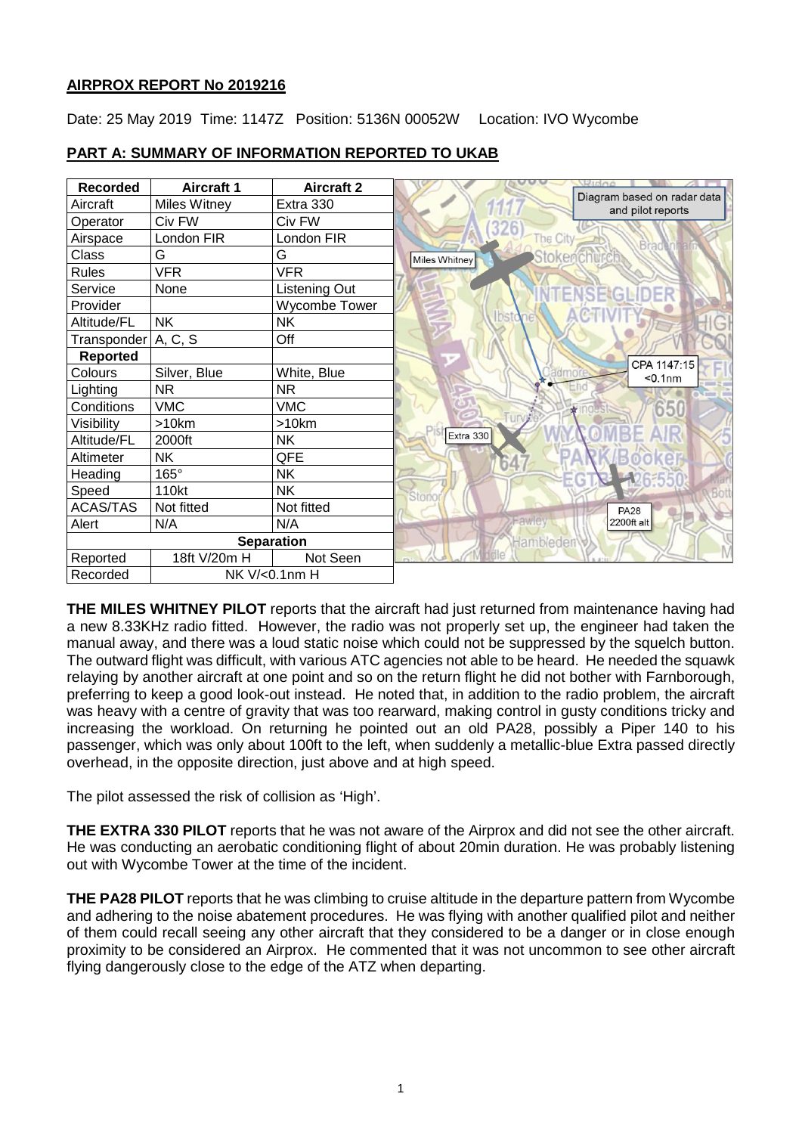## **AIRPROX REPORT No 2019216**

Date: 25 May 2019 Time: 1147Z Position: 5136N 00052W Location: IVO Wycombe

| <b>Recorded</b>           | <b>Aircraft 1</b> | <b>Aircraft 2</b> |                                                  |
|---------------------------|-------------------|-------------------|--------------------------------------------------|
| Aircraft                  | Miles Witney      | Extra 330         | Diagram based on radar data<br>and pilot reports |
| Operator                  | Civ FW            | Civ FW            |                                                  |
| Airspace                  | London FIR        | London FIR        | The City<br><b>Brao</b>                          |
| Class                     | G                 | G                 | Stokencl<br>Miles Whitney                        |
| <b>Rules</b>              | <b>VFR</b>        | <b>VFR</b>        |                                                  |
| Service                   | None              | Listening Out     | ENSEGL                                           |
| Provider                  |                   | Wycombe Tower     |                                                  |
| Altitude/FL               | <b>NK</b>         | <b>NK</b>         | bstone                                           |
| Transponder A, C, S       |                   | Off               |                                                  |
| <b>Reported</b>           |                   |                   | CPA 1147:15                                      |
| Colours                   | Silver, Blue      | White, Blue       | $0.1nm$                                          |
| Lighting                  | <b>NR</b>         | <b>NR</b>         |                                                  |
| Conditions                | <b>VMC</b>        | <b>VMC</b>        | 650                                              |
| Visibility                | >10km             | >10km             |                                                  |
| Altitude/FL               | 2000ft            | NΚ                | Extra 330                                        |
| Altimeter                 | <b>NK</b>         | QFE               |                                                  |
| Heading                   | $165^\circ$       | <b>NK</b>         |                                                  |
| Speed                     | 110kt             | <b>NK</b>         | Stono                                            |
| <b>ACAS/TAS</b>           | Not fitted        | Not fitted        | <b>PA28</b>                                      |
| Alert                     | N/A               | N/A               | Fawlet<br>2200ft alt                             |
| <b>Separation</b>         |                   |                   | Hambleden                                        |
| Reported                  | 18ft V/20m H      | Not Seen          |                                                  |
| Recorded<br>NK V/<0.1nm H |                   |                   |                                                  |

## **PART A: SUMMARY OF INFORMATION REPORTED TO UKAB**

**THE MILES WHITNEY PILOT** reports that the aircraft had just returned from maintenance having had a new 8.33KHz radio fitted. However, the radio was not properly set up, the engineer had taken the manual away, and there was a loud static noise which could not be suppressed by the squelch button. The outward flight was difficult, with various ATC agencies not able to be heard. He needed the squawk relaying by another aircraft at one point and so on the return flight he did not bother with Farnborough, preferring to keep a good look-out instead. He noted that, in addition to the radio problem, the aircraft was heavy with a centre of gravity that was too rearward, making control in gusty conditions tricky and increasing the workload. On returning he pointed out an old PA28, possibly a Piper 140 to his passenger, which was only about 100ft to the left, when suddenly a metallic-blue Extra passed directly overhead, in the opposite direction, just above and at high speed.

The pilot assessed the risk of collision as 'High'.

**THE EXTRA 330 PILOT** reports that he was not aware of the Airprox and did not see the other aircraft. He was conducting an aerobatic conditioning flight of about 20min duration. He was probably listening out with Wycombe Tower at the time of the incident.

**THE PA28 PILOT** reports that he was climbing to cruise altitude in the departure pattern from Wycombe and adhering to the noise abatement procedures. He was flying with another qualified pilot and neither of them could recall seeing any other aircraft that they considered to be a danger or in close enough proximity to be considered an Airprox. He commented that it was not uncommon to see other aircraft flying dangerously close to the edge of the ATZ when departing.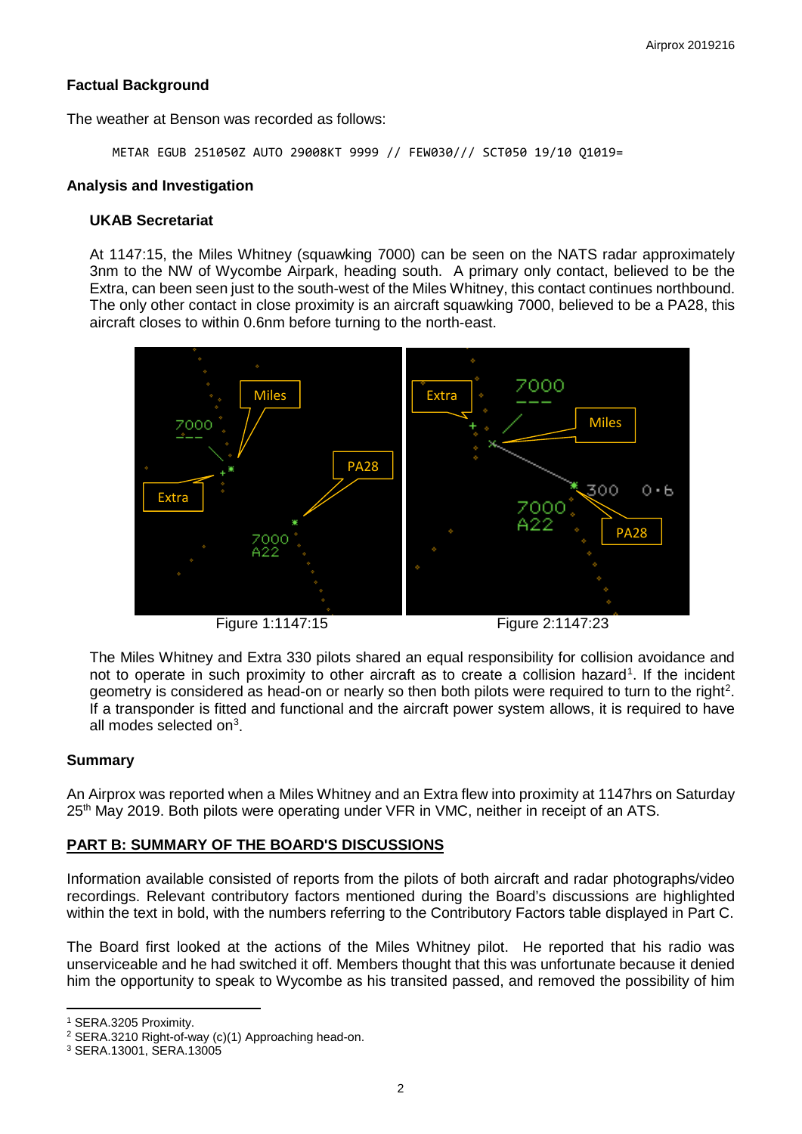## **Factual Background**

The weather at Benson was recorded as follows:

METAR EGUB 251050Z AUTO 29008KT 9999 // FEW030/// SCT050 19/10 Q1019=

#### **Analysis and Investigation**

### **UKAB Secretariat**

At 1147:15, the Miles Whitney (squawking 7000) can be seen on the NATS radar approximately 3nm to the NW of Wycombe Airpark, heading south. A primary only contact, believed to be the Extra, can been seen just to the south-west of the Miles Whitney, this contact continues northbound. The only other contact in close proximity is an aircraft squawking 7000, believed to be a PA28, this aircraft closes to within 0.6nm before turning to the north-east.



Figure 1:1147:15 Figure 2:1147:23

The Miles Whitney and Extra 330 pilots shared an equal responsibility for collision avoidance and not to operate in such proximity to other aircraft as to create a collision hazard<sup>[1](#page-1-0)</sup>. If the incident geometry is considered as head-on or nearly so then both pilots were required to turn to the right<sup>[2](#page-1-1)</sup>. If a transponder is fitted and functional and the aircraft power system allows, it is required to have all modes selected on $3$ .

## **Summary**

An Airprox was reported when a Miles Whitney and an Extra flew into proximity at 1147hrs on Saturday 25<sup>th</sup> May 2019. Both pilots were operating under VFR in VMC, neither in receipt of an ATS.

## **PART B: SUMMARY OF THE BOARD'S DISCUSSIONS**

Information available consisted of reports from the pilots of both aircraft and radar photographs/video recordings. Relevant contributory factors mentioned during the Board's discussions are highlighted within the text in bold, with the numbers referring to the Contributory Factors table displayed in Part C.

The Board first looked at the actions of the Miles Whitney pilot. He reported that his radio was unserviceable and he had switched it off. Members thought that this was unfortunate because it denied him the opportunity to speak to Wycombe as his transited passed, and removed the possibility of him

l

<span id="page-1-0"></span><sup>1</sup> SERA.3205 Proximity.

<span id="page-1-1"></span><sup>&</sup>lt;sup>2</sup> SERA.3210 Right-of-way (c)(1) Approaching head-on.<br><sup>3</sup> SERA.13001, SERA.13005

<span id="page-1-2"></span>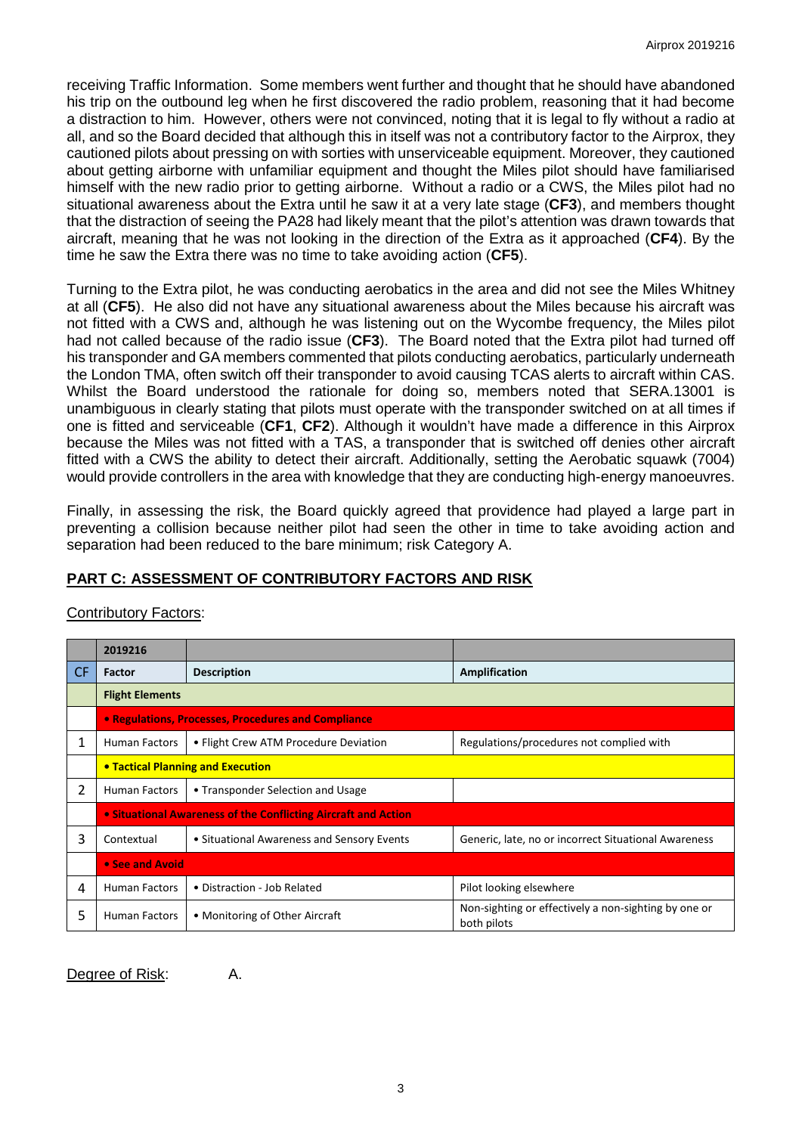receiving Traffic Information. Some members went further and thought that he should have abandoned his trip on the outbound leg when he first discovered the radio problem, reasoning that it had become a distraction to him. However, others were not convinced, noting that it is legal to fly without a radio at all, and so the Board decided that although this in itself was not a contributory factor to the Airprox, they cautioned pilots about pressing on with sorties with unserviceable equipment. Moreover, they cautioned about getting airborne with unfamiliar equipment and thought the Miles pilot should have familiarised himself with the new radio prior to getting airborne. Without a radio or a CWS, the Miles pilot had no situational awareness about the Extra until he saw it at a very late stage (**CF3**), and members thought that the distraction of seeing the PA28 had likely meant that the pilot's attention was drawn towards that aircraft, meaning that he was not looking in the direction of the Extra as it approached (**CF4**). By the time he saw the Extra there was no time to take avoiding action (**CF5**).

Turning to the Extra pilot, he was conducting aerobatics in the area and did not see the Miles Whitney at all (**CF5**). He also did not have any situational awareness about the Miles because his aircraft was not fitted with a CWS and, although he was listening out on the Wycombe frequency, the Miles pilot had not called because of the radio issue (**CF3**). The Board noted that the Extra pilot had turned off his transponder and GA members commented that pilots conducting aerobatics, particularly underneath the London TMA, often switch off their transponder to avoid causing TCAS alerts to aircraft within CAS. Whilst the Board understood the rationale for doing so, members noted that SERA.13001 is unambiguous in clearly stating that pilots must operate with the transponder switched on at all times if one is fitted and serviceable (**CF1**, **CF2**). Although it wouldn't have made a difference in this Airprox because the Miles was not fitted with a TAS, a transponder that is switched off denies other aircraft fitted with a CWS the ability to detect their aircraft. Additionally, setting the Aerobatic squawk (7004) would provide controllers in the area with knowledge that they are conducting high-energy manoeuvres.

Finally, in assessing the risk, the Board quickly agreed that providence had played a large part in preventing a collision because neither pilot had seen the other in time to take avoiding action and separation had been reduced to the bare minimum; risk Category A.

# **PART C: ASSESSMENT OF CONTRIBUTORY FACTORS AND RISK**

|     | 2019216                                                        |                                            |                                                                     |  |  |  |  |  |  |
|-----|----------------------------------------------------------------|--------------------------------------------|---------------------------------------------------------------------|--|--|--|--|--|--|
| CF. | Factor                                                         | <b>Description</b>                         | Amplification                                                       |  |  |  |  |  |  |
|     | <b>Flight Elements</b>                                         |                                            |                                                                     |  |  |  |  |  |  |
|     | • Regulations, Processes, Procedures and Compliance            |                                            |                                                                     |  |  |  |  |  |  |
| 1   | <b>Human Factors</b>                                           | • Flight Crew ATM Procedure Deviation      | Regulations/procedures not complied with                            |  |  |  |  |  |  |
|     | <b>• Tactical Planning and Execution</b>                       |                                            |                                                                     |  |  |  |  |  |  |
| 2   | <b>Human Factors</b>                                           | • Transponder Selection and Usage          |                                                                     |  |  |  |  |  |  |
|     | • Situational Awareness of the Conflicting Aircraft and Action |                                            |                                                                     |  |  |  |  |  |  |
| 3   | Contextual                                                     | • Situational Awareness and Sensory Events | Generic, late, no or incorrect Situational Awareness                |  |  |  |  |  |  |
|     | • See and Avoid                                                |                                            |                                                                     |  |  |  |  |  |  |
| 4   | <b>Human Factors</b>                                           | • Distraction - Job Related                | Pilot looking elsewhere                                             |  |  |  |  |  |  |
| 5   | <b>Human Factors</b>                                           | • Monitoring of Other Aircraft             | Non-sighting or effectively a non-sighting by one or<br>both pilots |  |  |  |  |  |  |

## Contributory Factors:

Degree of Risk: A.